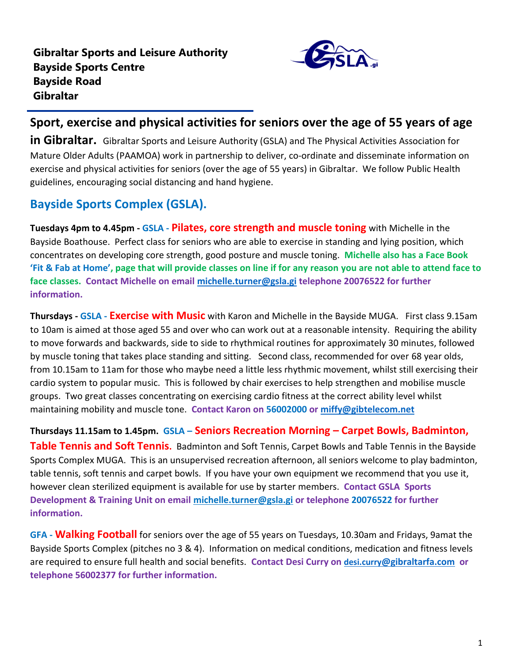

## **Sport, exercise and physical activities for seniors over the age of 55 years of age**

**in Gibraltar.** Gibraltar Sports and Leisure Authority (GSLA) and The Physical Activities Association for Mature Older Adults (PAAMOA) work in partnership to deliver, co-ordinate and disseminate information on exercise and physical activities for seniors (over the age of 55 years) in Gibraltar. We follow Public Health guidelines, encouraging social distancing and hand hygiene.

## **Bayside Sports Complex (GSLA).**

**Tuesdays 4pm to 4.45pm - GSLA - Pilates, core strength and muscle toning** with Michelle in the Bayside Boathouse. Perfect class for seniors who are able to exercise in standing and lying position, which concentrates on developing core strength, good posture and muscle toning. **Michelle also has a Face Book 'Fit & Fab at Home', page that will provide classes on line if for any reason you are not able to attend face to face classes. Contact Michelle on email [michelle.turner@gsla.gi](mailto:michelle.turner@gsla.gi) telephone 20076522 for further information.**

**Thursdays - GSLA - Exercise with Music** with Karon and Michelle in the Bayside MUGA.First class 9.15am to 10am is aimed at those aged 55 and over who can work out at a reasonable intensity. Requiring the ability to move forwards and backwards, side to side to rhythmical routines for approximately 30 minutes, followed by muscle toning that takes place standing and sitting. Second class, recommended for over 68 year olds, from 10.15am to 11am for those who maybe need a little less rhythmic movement, whilst still exercising their cardio system to popular music. This is followed by chair exercises to help strengthen and mobilise muscle groups. Two great classes concentrating on exercising cardio fitness at the correct ability level whilst maintaining mobility and muscle tone. **Contact Karon on 56002000 or [miffy@gibtelecom.net](mailto:miffy@gibtelecom.net)** 

**Thursdays 11.15am to 1.45pm. GSLA – Seniors Recreation Morning – Carpet Bowls, Badminton, Table Tennis and Soft Tennis.** Badminton and Soft Tennis, Carpet Bowls and Table Tennis in the Bayside Sports Complex MUGA. This is an unsupervised recreation afternoon, all seniors welcome to play badminton, table tennis, soft tennis and carpet bowls. If you have your own equipment we recommend that you use it, however clean sterilized equipment is available for use by starter members. **Contact GSLA Sports Development & Training Unit on email [michelle.turner@gsla.gi](mailto:michelle.turner@gsla.gi) or telephone 20076522 for further information.**

**GFA - Walking Football** for seniors over the age of 55 years on Tuesdays, 10.30am and Fridays, 9amat the Bayside Sports Complex (pitches no 3 & 4). Information on medical conditions, medication and fitness levels are required to ensure full health and social benefits. **Contact Desi Curry on [desi.curry](mailto:desi.curry@gibraltarfa.com)[@gibraltarfa.com](mailto:desi.curry@gibraltarfa.com) or telephone 56002377 for further information.**